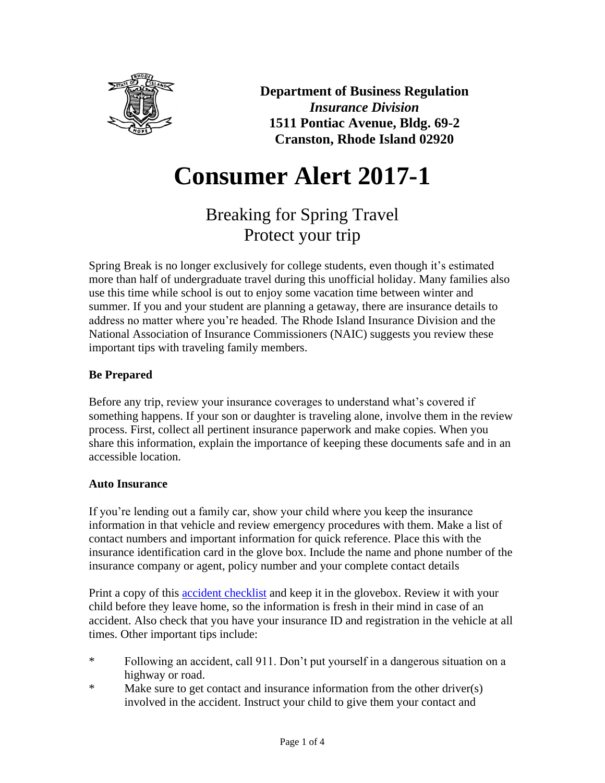

**Department of Business Regulation** *Insurance Division* **1511 Pontiac Avenue, Bldg. 69-2 Cranston, Rhode Island 02920**

# **Consumer Alert 2017-1**

# Breaking for Spring Travel Protect your trip

Spring Break is no longer exclusively for college students, even though it's estimated more than half of undergraduate travel during this unofficial holiday. Many families also use this time while school is out to enjoy some vacation time between winter and summer. If you and your student are planning a getaway, there are insurance details to address no matter where you're headed. The Rhode Island Insurance Division and the National Association of Insurance Commissioners (NAIC) suggests you review these important tips with traveling family members.

# **Be Prepared**

Before any trip, review your insurance coverages to understand what's covered if something happens. If your son or daughter is traveling alone, involve them in the review process. First, collect all pertinent insurance paperwork and make copies. When you share this information, explain the importance of keeping these documents safe and in an accessible location.

# **Auto Insurance**

If you're lending out a family car, show your child where you keep the insurance information in that vehicle and review emergency procedures with them. Make a list of contact numbers and important information for quick reference. Place this with the insurance identification card in the glove box. Include the name and phone number of the insurance company or agent, policy number and your complete contact details

Print a copy of this [accident checklist](http://www.insureuonline.org/auto_accident_checklist.pdf) and keep it in the glovebox. Review it with your child before they leave home, so the information is fresh in their mind in case of an accident. Also check that you have your insurance ID and registration in the vehicle at all times. Other important tips include:

- \* Following an accident, call 911. Don't put yourself in a dangerous situation on a highway or road.
- \* Make sure to get contact and insurance information from the other driver(s) involved in the accident. Instruct your child to give them your contact and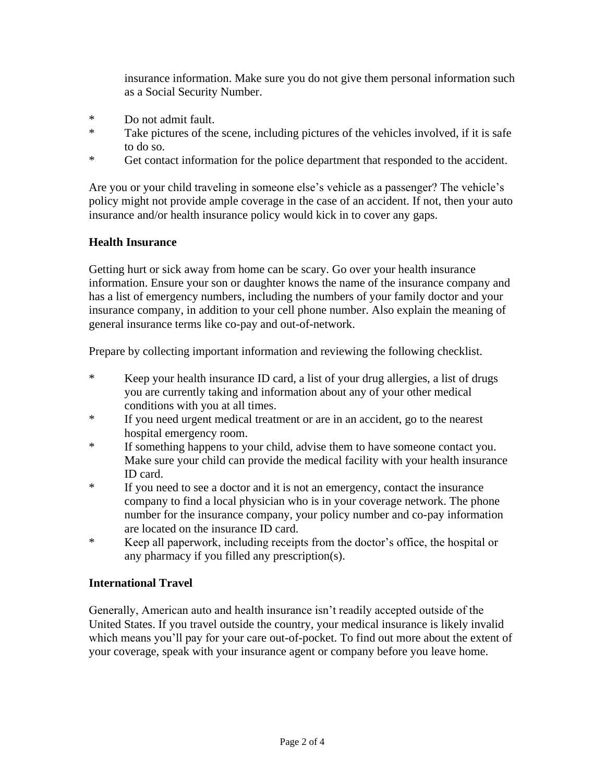insurance information. Make sure you do not give them personal information such as a Social Security Number.

- \* Do not admit fault.
- \* Take pictures of the scene, including pictures of the vehicles involved, if it is safe to do so.
- \* Get contact information for the police department that responded to the accident.

Are you or your child traveling in someone else's vehicle as a passenger? The vehicle's policy might not provide ample coverage in the case of an accident. If not, then your auto insurance and/or health insurance policy would kick in to cover any gaps.

# **Health Insurance**

Getting hurt or sick away from home can be scary. Go over your health insurance information. Ensure your son or daughter knows the name of the insurance company and has a list of emergency numbers, including the numbers of your family doctor and your insurance company, in addition to your cell phone number. Also explain the meaning of general insurance terms like co-pay and out-of-network.

Prepare by collecting important information and reviewing the following checklist.

- \* Keep your health insurance ID card, a list of your drug allergies, a list of drugs you are currently taking and information about any of your other medical conditions with you at all times.
- \* If you need urgent medical treatment or are in an accident, go to the nearest hospital emergency room.
- \* If something happens to your child, advise them to have someone contact you. Make sure your child can provide the medical facility with your health insurance ID card.
- \* If you need to see a doctor and it is not an emergency, contact the insurance company to find a local physician who is in your coverage network. The phone number for the insurance company, your policy number and co-pay information are located on the insurance ID card.
- \* Keep all paperwork, including receipts from the doctor's office, the hospital or any pharmacy if you filled any prescription(s).

#### **International Travel**

Generally, American auto and health insurance isn't readily accepted outside of the United States. If you travel outside the country, your medical insurance is likely invalid which means you'll pay for your care out-of-pocket. To find out more about the extent of your coverage, speak with your insurance agent or company before you leave home.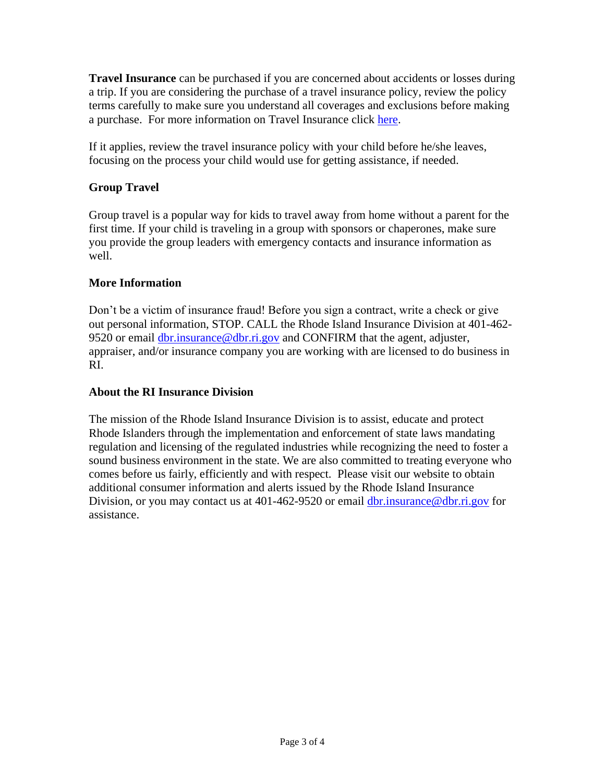**Travel Insurance** can be purchased if you are concerned about accidents or losses during a trip. If you are considering the purchase of a travel insurance policy, review the policy terms carefully to make sure you understand all coverages and exclusions before making a purchase. For more information on Travel Insurance click [here.](http://www.naic.org/documents/consumer_alert_travel_insurance_globetrotting.htm)

If it applies, review the travel insurance policy with your child before he/she leaves, focusing on the process your child would use for getting assistance, if needed.

# **Group Travel**

Group travel is a popular way for kids to travel away from home without a parent for the first time. If your child is traveling in a group with sponsors or chaperones, make sure you provide the group leaders with emergency contacts and insurance information as well.

# **More Information**

Don't be a victim of insurance fraud! Before you sign a contract, write a check or give out personal information, STOP. CALL the Rhode Island Insurance Division at 401-462 9520 or email [dbr.insurance@dbr.ri.gov](mailto:dbr.insurance@dbr.ri.gov) and CONFIRM that the agent, adjuster, appraiser, and/or insurance company you are working with are licensed to do business in RI.

# **About the RI Insurance Division**

The mission of the Rhode Island Insurance Division is to assist, educate and protect Rhode Islanders through the implementation and enforcement of state laws mandating regulation and licensing of the regulated industries while recognizing the need to foster a sound business environment in the state. We are also committed to treating everyone who comes before us fairly, efficiently and with respect. Please visit our website to obtain additional consumer information and alerts issued by the Rhode Island Insurance Division, or you may contact us at 401-462-9520 or email [dbr.insurance@dbr.ri.gov](mailto:dbr.insurance@dbr.ri.gov) for assistance.